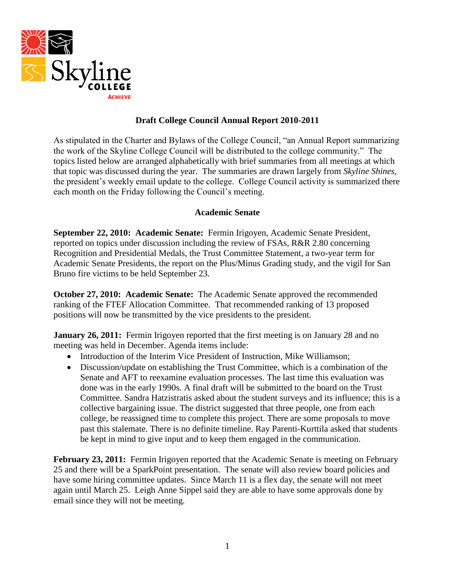

# **Draft College Council Annual Report 2010-2011**

As stipulated in the Charter and Bylaws of the College Council, "an Annual Report summarizing the work of the Skyline College Council will be distributed to the college community." The topics listed below are arranged alphabetically with brief summaries from all meetings at which that topic was discussed during the year. The summaries are drawn largely from *Skyline Shines*, the president's weekly email update to the college. College Council activity is summarized there each month on the Friday following the Council's meeting.

# **Academic Senate**

**September 22, 2010: Academic Senate:** Fermin Irigoyen, Academic Senate President, reported on topics under discussion including the review of FSAs, R&R 2.80 concerning Recognition and Presidential Medals, the Trust Committee Statement, a two-year term for Academic Senate Presidents, the report on the Plus/Minus Grading study, and the vigil for San Bruno fire victims to be held September 23.

**October 27, 2010: Academic Senate:** The Academic Senate approved the recommended ranking of the FTEF Allocation Committee. That recommended ranking of 13 proposed positions will now be transmitted by the vice presidents to the president.

**January 26, 2011:** Fermin Irigoyen reported that the first meeting is on January 28 and no meeting was held in December. Agenda items include:

- Introduction of the Interim Vice President of Instruction, Mike Williamson;
- Discussion/update on establishing the Trust Committee, which is a combination of the Senate and AFT to reexamine evaluation processes. The last time this evaluation was done was in the early 1990s. A final draft will be submitted to the board on the Trust Committee. Sandra Hatzistratis asked about the student surveys and its influence; this is a collective bargaining issue. The district suggested that three people, one from each college, be reassigned time to complete this project. There are some proposals to move past this stalemate. There is no definite timeline. Ray Parenti-Kurttila asked that students be kept in mind to give input and to keep them engaged in the communication.

February 23, 2011: Fermin Irigoyen reported that the Academic Senate is meeting on February 25 and there will be a SparkPoint presentation. The senate will also review board policies and have some hiring committee updates. Since March 11 is a flex day, the senate will not meet again until March 25. Leigh Anne Sippel said they are able to have some approvals done by email since they will not be meeting.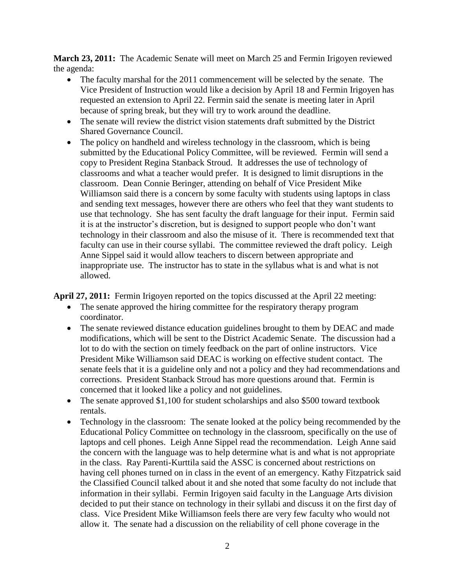**March 23, 2011:** The Academic Senate will meet on March 25 and Fermin Irigoyen reviewed the agenda:

- The faculty marshal for the 2011 commencement will be selected by the senate. The Vice President of Instruction would like a decision by April 18 and Fermin Irigoyen has requested an extension to April 22. Fermin said the senate is meeting later in April because of spring break, but they will try to work around the deadline.
- The senate will review the district vision statements draft submitted by the District Shared Governance Council.
- The policy on handheld and wireless technology in the classroom, which is being submitted by the Educational Policy Committee, will be reviewed. Fermin will send a copy to President Regina Stanback Stroud. It addresses the use of technology of classrooms and what a teacher would prefer. It is designed to limit disruptions in the classroom. Dean Connie Beringer, attending on behalf of Vice President Mike Williamson said there is a concern by some faculty with students using laptops in class and sending text messages, however there are others who feel that they want students to use that technology. She has sent faculty the draft language for their input. Fermin said it is at the instructor's discretion, but is designed to support people who don't want technology in their classroom and also the misuse of it. There is recommended text that faculty can use in their course syllabi. The committee reviewed the draft policy. Leigh Anne Sippel said it would allow teachers to discern between appropriate and inappropriate use. The instructor has to state in the syllabus what is and what is not allowed.

**April 27, 2011:** Fermin Irigoyen reported on the topics discussed at the April 22 meeting:

- The senate approved the hiring committee for the respiratory therapy program coordinator.
- The senate reviewed distance education guidelines brought to them by DEAC and made modifications, which will be sent to the District Academic Senate. The discussion had a lot to do with the section on timely feedback on the part of online instructors. Vice President Mike Williamson said DEAC is working on effective student contact. The senate feels that it is a guideline only and not a policy and they had recommendations and corrections. President Stanback Stroud has more questions around that. Fermin is concerned that it looked like a policy and not guidelines.
- The senate approved \$1,100 for student scholarships and also \$500 toward textbook rentals.
- Technology in the classroom: The senate looked at the policy being recommended by the Educational Policy Committee on technology in the classroom, specifically on the use of laptops and cell phones. Leigh Anne Sippel read the recommendation. Leigh Anne said the concern with the language was to help determine what is and what is not appropriate in the class. Ray Parenti-Kurttila said the ASSC is concerned about restrictions on having cell phones turned on in class in the event of an emergency. Kathy Fitzpatrick said the Classified Council talked about it and she noted that some faculty do not include that information in their syllabi. Fermin Irigoyen said faculty in the Language Arts division decided to put their stance on technology in their syllabi and discuss it on the first day of class. Vice President Mike Williamson feels there are very few faculty who would not allow it. The senate had a discussion on the reliability of cell phone coverage in the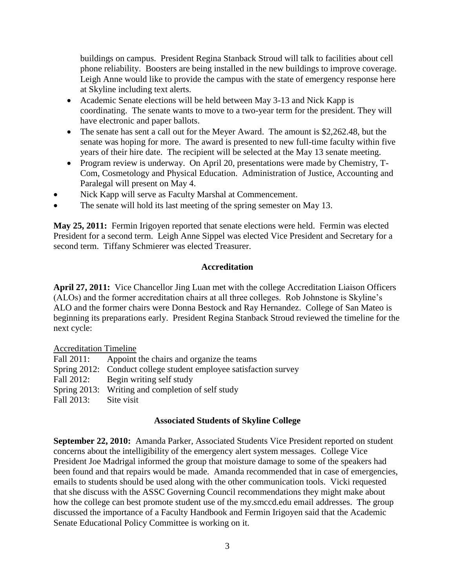buildings on campus. President Regina Stanback Stroud will talk to facilities about cell phone reliability. Boosters are being installed in the new buildings to improve coverage. Leigh Anne would like to provide the campus with the state of emergency response here at Skyline including text alerts.

- Academic Senate elections will be held between May 3-13 and Nick Kapp is coordinating. The senate wants to move to a two-year term for the president. They will have electronic and paper ballots.
- The senate has sent a call out for the Meyer Award. The amount is \$2,262.48, but the senate was hoping for more. The award is presented to new full-time faculty within five years of their hire date. The recipient will be selected at the May 13 senate meeting.
- Program review is underway. On April 20, presentations were made by Chemistry, T-Com, Cosmetology and Physical Education. Administration of Justice, Accounting and Paralegal will present on May 4.
- Nick Kapp will serve as Faculty Marshal at Commencement.
- The senate will hold its last meeting of the spring semester on May 13.

**May 25, 2011:** Fermin Irigoyen reported that senate elections were held. Fermin was elected President for a second term. Leigh Anne Sippel was elected Vice President and Secretary for a second term. Tiffany Schmierer was elected Treasurer.

### **Accreditation**

**April 27, 2011:** Vice Chancellor Jing Luan met with the college Accreditation Liaison Officers (ALOs) and the former accreditation chairs at all three colleges. Rob Johnstone is Skyline's ALO and the former chairs were Donna Bestock and Ray Hernandez. College of San Mateo is beginning its preparations early. President Regina Stanback Stroud reviewed the timeline for the next cycle:

#### Accreditation Timeline

| Fall 2011: | Appoint the chairs and organize the teams                         |
|------------|-------------------------------------------------------------------|
|            | Spring 2012: Conduct college student employee satisfaction survey |
|            | Fall 2012: Begin writing self study                               |
|            | Spring 2013: Writing and completion of self study                 |
| Fall 2013: | Site visit                                                        |

### **Associated Students of Skyline College**

**September 22, 2010:** Amanda Parker, Associated Students Vice President reported on student concerns about the intelligibility of the emergency alert system messages. College Vice President Joe Madrigal informed the group that moisture damage to some of the speakers had been found and that repairs would be made. Amanda recommended that in case of emergencies, emails to students should be used along with the other communication tools. Vicki requested that she discuss with the ASSC Governing Council recommendations they might make about how the college can best promote student use of the my.smccd.edu email addresses. The group discussed the importance of a Faculty Handbook and Fermin Irigoyen said that the Academic Senate Educational Policy Committee is working on it.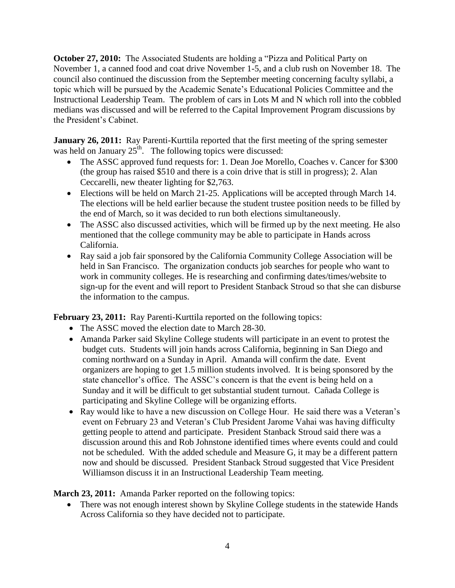**October 27, 2010:** The Associated Students are holding a "Pizza and Political Party on November 1, a canned food and coat drive November 1-5, and a club rush on November 18. The council also continued the discussion from the September meeting concerning faculty syllabi, a topic which will be pursued by the Academic Senate's Educational Policies Committee and the Instructional Leadership Team. The problem of cars in Lots M and N which roll into the cobbled medians was discussed and will be referred to the Capital Improvement Program discussions by the President's Cabinet.

**January 26, 2011:** Ray Parenti-Kurttila reported that the first meeting of the spring semester was held on January  $25<sup>th</sup>$ . The following topics were discussed:

- The ASSC approved fund requests for: 1. Dean Joe Morello, Coaches v. Cancer for \$300 (the group has raised \$510 and there is a coin drive that is still in progress); 2. Alan Ceccarelli, new theater lighting for \$2,763.
- Elections will be held on March 21-25. Applications will be accepted through March 14. The elections will be held earlier because the student trustee position needs to be filled by the end of March, so it was decided to run both elections simultaneously.
- The ASSC also discussed activities, which will be firmed up by the next meeting. He also mentioned that the college community may be able to participate in Hands across California.
- Ray said a job fair sponsored by the California Community College Association will be held in San Francisco. The organization conducts job searches for people who want to work in community colleges. He is researching and confirming dates/times/website to sign-up for the event and will report to President Stanback Stroud so that she can disburse the information to the campus.

**February 23, 2011:** Ray Parenti-Kurttila reported on the following topics:

- The ASSC moved the election date to March 28-30.
- Amanda Parker said Skyline College students will participate in an event to protest the budget cuts. Students will join hands across California, beginning in San Diego and coming northward on a Sunday in April. Amanda will confirm the date. Event organizers are hoping to get 1.5 million students involved. It is being sponsored by the state chancellor's office. The ASSC's concern is that the event is being held on a Sunday and it will be difficult to get substantial student turnout. Cañada College is participating and Skyline College will be organizing efforts.
- Ray would like to have a new discussion on College Hour. He said there was a Veteran's event on February 23 and Veteran's Club President Jarome Vahai was having difficulty getting people to attend and participate. President Stanback Stroud said there was a discussion around this and Rob Johnstone identified times where events could and could not be scheduled. With the added schedule and Measure G, it may be a different pattern now and should be discussed. President Stanback Stroud suggested that Vice President Williamson discuss it in an Instructional Leadership Team meeting.

**March 23, 2011:** Amanda Parker reported on the following topics:

• There was not enough interest shown by Skyline College students in the statewide Hands Across California so they have decided not to participate.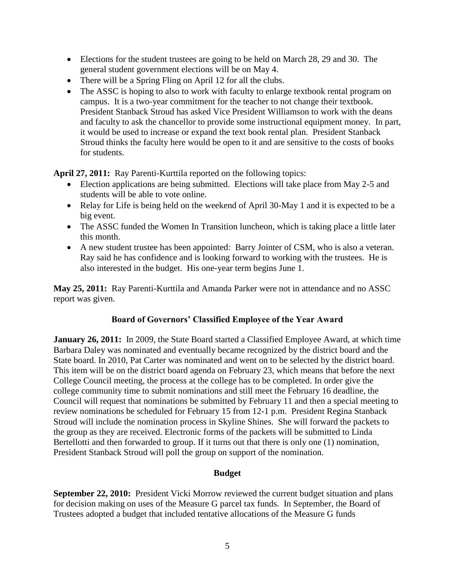- Elections for the student trustees are going to be held on March 28, 29 and 30. The general student government elections will be on May 4.
- There will be a Spring Fling on April 12 for all the clubs.
- The ASSC is hoping to also to work with faculty to enlarge textbook rental program on campus. It is a two-year commitment for the teacher to not change their textbook. President Stanback Stroud has asked Vice President Williamson to work with the deans and faculty to ask the chancellor to provide some instructional equipment money. In part, it would be used to increase or expand the text book rental plan. President Stanback Stroud thinks the faculty here would be open to it and are sensitive to the costs of books for students.

**April 27, 2011:** Ray Parenti-Kurttila reported on the following topics:

- Election applications are being submitted. Elections will take place from May 2-5 and students will be able to vote online.
- Relay for Life is being held on the weekend of April 30-May 1 and it is expected to be a big event.
- The ASSC funded the Women In Transition luncheon, which is taking place a little later this month.
- A new student trustee has been appointed: Barry Jointer of CSM, who is also a veteran. Ray said he has confidence and is looking forward to working with the trustees. He is also interested in the budget. His one-year term begins June 1.

**May 25, 2011:** Ray Parenti-Kurttila and Amanda Parker were not in attendance and no ASSC report was given.

### **Board of Governors' Classified Employee of the Year Award**

**January 26, 2011:** In 2009, the State Board started a Classified Employee Award, at which time Barbara Daley was nominated and eventually became recognized by the district board and the State board. In 2010, Pat Carter was nominated and went on to be selected by the district board. This item will be on the district board agenda on February 23, which means that before the next College Council meeting, the process at the college has to be completed. In order give the college community time to submit nominations and still meet the February 16 deadline, the Council will request that nominations be submitted by February 11 and then a special meeting to review nominations be scheduled for February 15 from 12-1 p.m. President Regina Stanback Stroud will include the nomination process in Skyline Shines. She will forward the packets to the group as they are received. Electronic forms of the packets will be submitted to Linda Bertellotti and then forwarded to group. If it turns out that there is only one (1) nomination, President Stanback Stroud will poll the group on support of the nomination.

### **Budget**

**September 22, 2010:** President Vicki Morrow reviewed the current budget situation and plans for decision making on uses of the Measure G parcel tax funds. In September, the Board of Trustees adopted a budget that included tentative allocations of the Measure G funds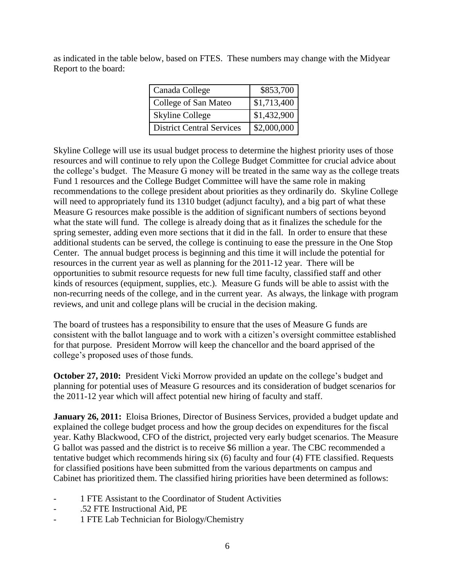as indicated in the table below, based on FTES. These numbers may change with the Midyear Report to the board:

| Canada College                   | \$853,700   |
|----------------------------------|-------------|
| College of San Mateo             | \$1,713,400 |
| <b>Skyline College</b>           | \$1,432,900 |
| <b>District Central Services</b> | \$2,000,000 |

Skyline College will use its usual budget process to determine the highest priority uses of those resources and will continue to rely upon the College Budget Committee for crucial advice about the college's budget. The Measure G money will be treated in the same way as the college treats Fund 1 resources and the College Budget Committee will have the same role in making recommendations to the college president about priorities as they ordinarily do. Skyline College will need to appropriately fund its 1310 budget (adjunct faculty), and a big part of what these Measure G resources make possible is the addition of significant numbers of sections beyond what the state will fund. The college is already doing that as it finalizes the schedule for the spring semester, adding even more sections that it did in the fall. In order to ensure that these additional students can be served, the college is continuing to ease the pressure in the One Stop Center. The annual budget process is beginning and this time it will include the potential for resources in the current year as well as planning for the 2011-12 year. There will be opportunities to submit resource requests for new full time faculty, classified staff and other kinds of resources (equipment, supplies, etc.). Measure G funds will be able to assist with the non-recurring needs of the college, and in the current year. As always, the linkage with program reviews, and unit and college plans will be crucial in the decision making.

The board of trustees has a responsibility to ensure that the uses of Measure G funds are consistent with the ballot language and to work with a citizen's oversight committee established for that purpose. President Morrow will keep the chancellor and the board apprised of the college's proposed uses of those funds.

**October 27, 2010:** President Vicki Morrow provided an update on the college's budget and planning for potential uses of Measure G resources and its consideration of budget scenarios for the 2011-12 year which will affect potential new hiring of faculty and staff.

**January 26, 2011:** Eloisa Briones, Director of Business Services, provided a budget update and explained the college budget process and how the group decides on expenditures for the fiscal year. Kathy Blackwood, CFO of the district, projected very early budget scenarios. The Measure G ballot was passed and the district is to receive \$6 million a year. The CBC recommended a tentative budget which recommends hiring six (6) faculty and four (4) FTE classified. Requests for classified positions have been submitted from the various departments on campus and Cabinet has prioritized them. The classified hiring priorities have been determined as follows:

- 1 FTE Assistant to the Coordinator of Student Activities
- .52 FTE Instructional Aid, PE
- 1 FTE Lab Technician for Biology/Chemistry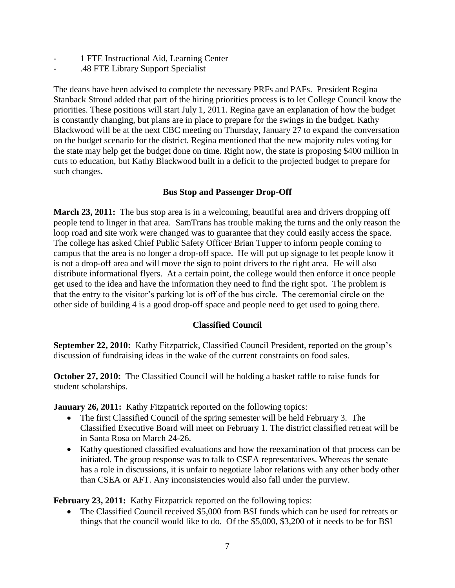- 1 FTE Instructional Aid, Learning Center
- .48 FTE Library Support Specialist

The deans have been advised to complete the necessary PRFs and PAFs. President Regina Stanback Stroud added that part of the hiring priorities process is to let College Council know the priorities. These positions will start July 1, 2011. Regina gave an explanation of how the budget is constantly changing, but plans are in place to prepare for the swings in the budget. Kathy Blackwood will be at the next CBC meeting on Thursday, January 27 to expand the conversation on the budget scenario for the district. Regina mentioned that the new majority rules voting for the state may help get the budget done on time. Right now, the state is proposing \$400 million in cuts to education, but Kathy Blackwood built in a deficit to the projected budget to prepare for such changes.

## **Bus Stop and Passenger Drop-Off**

**March 23, 2011:** The bus stop area is in a welcoming, beautiful area and drivers dropping off people tend to linger in that area. SamTrans has trouble making the turns and the only reason the loop road and site work were changed was to guarantee that they could easily access the space. The college has asked Chief Public Safety Officer Brian Tupper to inform people coming to campus that the area is no longer a drop-off space. He will put up signage to let people know it is not a drop-off area and will move the sign to point drivers to the right area. He will also distribute informational flyers. At a certain point, the college would then enforce it once people get used to the idea and have the information they need to find the right spot. The problem is that the entry to the visitor's parking lot is off of the bus circle. The ceremonial circle on the other side of building 4 is a good drop-off space and people need to get used to going there.

# **Classified Council**

**September 22, 2010:** Kathy Fitzpatrick, Classified Council President, reported on the group's discussion of fundraising ideas in the wake of the current constraints on food sales.

**October 27, 2010:** The Classified Council will be holding a basket raffle to raise funds for student scholarships.

**January 26, 2011:** Kathy Fitzpatrick reported on the following topics:

- The first Classified Council of the spring semester will be held February 3. The Classified Executive Board will meet on February 1. The district classified retreat will be in Santa Rosa on March 24-26.
- Kathy questioned classified evaluations and how the reexamination of that process can be initiated. The group response was to talk to CSEA representatives. Whereas the senate has a role in discussions, it is unfair to negotiate labor relations with any other body other than CSEA or AFT. Any inconsistencies would also fall under the purview.

February 23, 2011: Kathy Fitzpatrick reported on the following topics:

 The Classified Council received \$5,000 from BSI funds which can be used for retreats or things that the council would like to do. Of the \$5,000, \$3,200 of it needs to be for BSI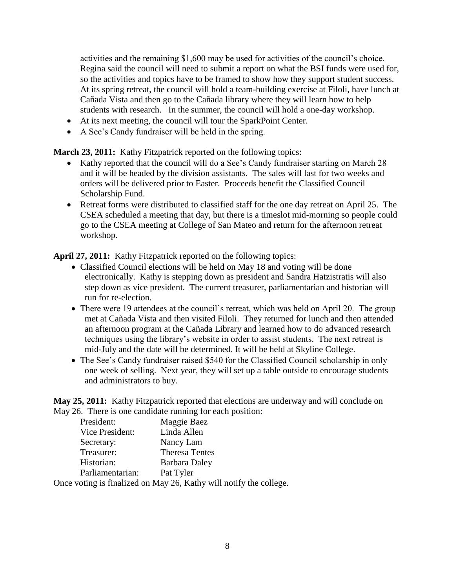activities and the remaining \$1,600 may be used for activities of the council's choice. Regina said the council will need to submit a report on what the BSI funds were used for, so the activities and topics have to be framed to show how they support student success. At its spring retreat, the council will hold a team-building exercise at Filoli, have lunch at Cañada Vista and then go to the Cañada library where they will learn how to help students with research. In the summer, the council will hold a one-day workshop.

- At its next meeting, the council will tour the SparkPoint Center.
- A See's Candy fundraiser will be held in the spring.

**March 23, 2011:** Kathy Fitzpatrick reported on the following topics:

- Kathy reported that the council will do a See's Candy fundraiser starting on March 28 and it will be headed by the division assistants. The sales will last for two weeks and orders will be delivered prior to Easter. Proceeds benefit the Classified Council Scholarship Fund.
- Retreat forms were distributed to classified staff for the one day retreat on April 25. The CSEA scheduled a meeting that day, but there is a timeslot mid-morning so people could go to the CSEA meeting at College of San Mateo and return for the afternoon retreat workshop.

**April 27, 2011:** Kathy Fitzpatrick reported on the following topics:

- Classified Council elections will be held on May 18 and voting will be done electronically. Kathy is stepping down as president and Sandra Hatzistratis will also step down as vice president. The current treasurer, parliamentarian and historian will run for re-election.
- There were 19 attendees at the council's retreat, which was held on April 20. The group met at Cañada Vista and then visited Filoli. They returned for lunch and then attended an afternoon program at the Cañada Library and learned how to do advanced research techniques using the library's website in order to assist students. The next retreat is mid-July and the date will be determined. It will be held at Skyline College.
- The See's Candy fundraiser raised \$540 for the Classified Council scholarship in only one week of selling. Next year, they will set up a table outside to encourage students and administrators to buy.

**May 25, 2011:** Kathy Fitzpatrick reported that elections are underway and will conclude on May 26. There is one candidate running for each position:

| President:       | Maggie Baez           |
|------------------|-----------------------|
| Vice President:  | Linda Allen           |
| Secretary:       | Nancy Lam             |
| Treasurer:       | <b>Theresa Tentes</b> |
| Historian:       | <b>Barbara Daley</b>  |
| Parliamentarian: | Pat Tyler             |

Once voting is finalized on May 26, Kathy will notify the college.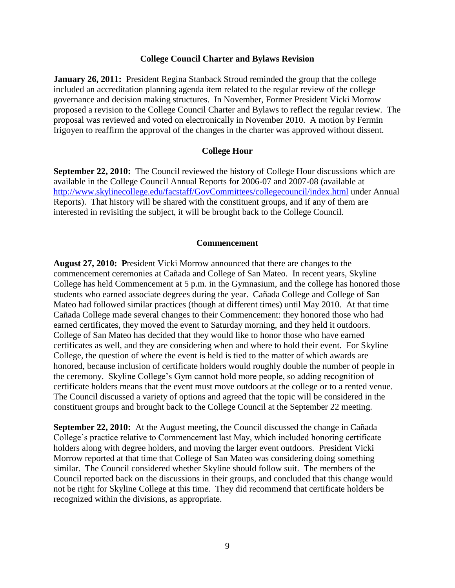#### **College Council Charter and Bylaws Revision**

**January 26, 2011:** President Regina Stanback Stroud reminded the group that the college included an accreditation planning agenda item related to the regular review of the college governance and decision making structures. In November, Former President Vicki Morrow proposed a revision to the College Council Charter and Bylaws to reflect the regular review. The proposal was reviewed and voted on electronically in November 2010. A motion by Fermin Irigoyen to reaffirm the approval of the changes in the charter was approved without dissent.

#### **College Hour**

**September 22, 2010:** The Council reviewed the history of College Hour discussions which are available in the College Council Annual Reports for 2006-07 and 2007-08 (available at <http://www.skylinecollege.edu/facstaff/GovCommittees/collegecouncil/index.html> under Annual Reports). That history will be shared with the constituent groups, and if any of them are interested in revisiting the subject, it will be brought back to the College Council.

#### **Commencement**

**August 27, 2010: P**resident Vicki Morrow announced that there are changes to the commencement ceremonies at Cañada and College of San Mateo. In recent years, Skyline College has held Commencement at 5 p.m. in the Gymnasium, and the college has honored those students who earned associate degrees during the year. Cañada College and College of San Mateo had followed similar practices (though at different times) until May 2010. At that time Cañada College made several changes to their Commencement: they honored those who had earned certificates, they moved the event to Saturday morning, and they held it outdoors. College of San Mateo has decided that they would like to honor those who have earned certificates as well, and they are considering when and where to hold their event. For Skyline College, the question of where the event is held is tied to the matter of which awards are honored, because inclusion of certificate holders would roughly double the number of people in the ceremony. Skyline College's Gym cannot hold more people, so adding recognition of certificate holders means that the event must move outdoors at the college or to a rented venue. The Council discussed a variety of options and agreed that the topic will be considered in the constituent groups and brought back to the College Council at the September 22 meeting.

**September 22, 2010:** At the August meeting, the Council discussed the change in Cañada College's practice relative to Commencement last May, which included honoring certificate holders along with degree holders, and moving the larger event outdoors. President Vicki Morrow reported at that time that College of San Mateo was considering doing something similar. The Council considered whether Skyline should follow suit. The members of the Council reported back on the discussions in their groups, and concluded that this change would not be right for Skyline College at this time. They did recommend that certificate holders be recognized within the divisions, as appropriate.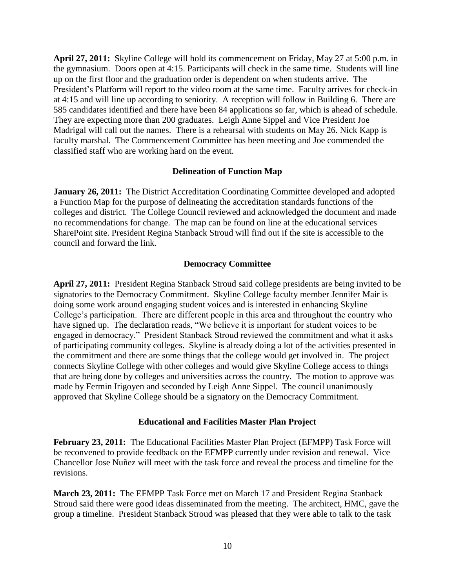**April 27, 2011:** Skyline College will hold its commencement on Friday, May 27 at 5:00 p.m. in the gymnasium. Doors open at 4:15. Participants will check in the same time. Students will line up on the first floor and the graduation order is dependent on when students arrive. The President's Platform will report to the video room at the same time. Faculty arrives for check-in at 4:15 and will line up according to seniority. A reception will follow in Building 6. There are 585 candidates identified and there have been 84 applications so far, which is ahead of schedule. They are expecting more than 200 graduates. Leigh Anne Sippel and Vice President Joe Madrigal will call out the names. There is a rehearsal with students on May 26. Nick Kapp is faculty marshal. The Commencement Committee has been meeting and Joe commended the classified staff who are working hard on the event.

#### **Delineation of Function Map**

**January 26, 2011:** The District Accreditation Coordinating Committee developed and adopted a Function Map for the purpose of delineating the accreditation standards functions of the colleges and district. The College Council reviewed and acknowledged the document and made no recommendations for change. The map can be found on line at the educational services SharePoint site. President Regina Stanback Stroud will find out if the site is accessible to the council and forward the link.

### **Democracy Committee**

**April 27, 2011:** President Regina Stanback Stroud said college presidents are being invited to be signatories to the Democracy Commitment. Skyline College faculty member Jennifer Mair is doing some work around engaging student voices and is interested in enhancing Skyline College's participation. There are different people in this area and throughout the country who have signed up. The declaration reads, "We believe it is important for student voices to be engaged in democracy." President Stanback Stroud reviewed the commitment and what it asks of participating community colleges. Skyline is already doing a lot of the activities presented in the commitment and there are some things that the college would get involved in. The project connects Skyline College with other colleges and would give Skyline College access to things that are being done by colleges and universities across the country. The motion to approve was made by Fermin Irigoyen and seconded by Leigh Anne Sippel. The council unanimously approved that Skyline College should be a signatory on the Democracy Commitment.

#### **Educational and Facilities Master Plan Project**

**February 23, 2011:** The Educational Facilities Master Plan Project (EFMPP) Task Force will be reconvened to provide feedback on the EFMPP currently under revision and renewal. Vice Chancellor Jose Nuñez will meet with the task force and reveal the process and timeline for the revisions.

**March 23, 2011:** The EFMPP Task Force met on March 17 and President Regina Stanback Stroud said there were good ideas disseminated from the meeting. The architect, HMC, gave the group a timeline. President Stanback Stroud was pleased that they were able to talk to the task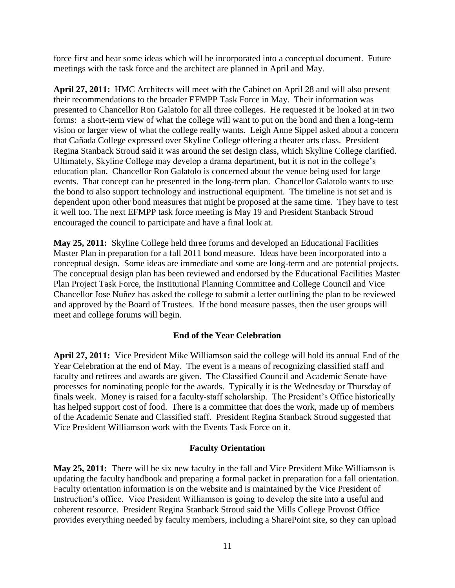force first and hear some ideas which will be incorporated into a conceptual document. Future meetings with the task force and the architect are planned in April and May.

**April 27, 2011:** HMC Architects will meet with the Cabinet on April 28 and will also present their recommendations to the broader EFMPP Task Force in May. Their information was presented to Chancellor Ron Galatolo for all three colleges. He requested it be looked at in two forms: a short-term view of what the college will want to put on the bond and then a long-term vision or larger view of what the college really wants. Leigh Anne Sippel asked about a concern that Cañada College expressed over Skyline College offering a theater arts class. President Regina Stanback Stroud said it was around the set design class, which Skyline College clarified. Ultimately, Skyline College may develop a drama department, but it is not in the college's education plan. Chancellor Ron Galatolo is concerned about the venue being used for large events. That concept can be presented in the long-term plan. Chancellor Galatolo wants to use the bond to also support technology and instructional equipment. The timeline is not set and is dependent upon other bond measures that might be proposed at the same time. They have to test it well too. The next EFMPP task force meeting is May 19 and President Stanback Stroud encouraged the council to participate and have a final look at.

**May 25, 2011:** Skyline College held three forums and developed an Educational Facilities Master Plan in preparation for a fall 2011 bond measure. Ideas have been incorporated into a conceptual design. Some ideas are immediate and some are long-term and are potential projects. The conceptual design plan has been reviewed and endorsed by the Educational Facilities Master Plan Project Task Force, the Institutional Planning Committee and College Council and Vice Chancellor Jose Nuñez has asked the college to submit a letter outlining the plan to be reviewed and approved by the Board of Trustees. If the bond measure passes, then the user groups will meet and college forums will begin.

### **End of the Year Celebration**

**April 27, 2011:** Vice President Mike Williamson said the college will hold its annual End of the Year Celebration at the end of May. The event is a means of recognizing classified staff and faculty and retirees and awards are given. The Classified Council and Academic Senate have processes for nominating people for the awards. Typically it is the Wednesday or Thursday of finals week. Money is raised for a faculty-staff scholarship. The President's Office historically has helped support cost of food. There is a committee that does the work, made up of members of the Academic Senate and Classified staff. President Regina Stanback Stroud suggested that Vice President Williamson work with the Events Task Force on it.

### **Faculty Orientation**

**May 25, 2011:** There will be six new faculty in the fall and Vice President Mike Williamson is updating the faculty handbook and preparing a formal packet in preparation for a fall orientation. Faculty orientation information is on the website and is maintained by the Vice President of Instruction's office. Vice President Williamson is going to develop the site into a useful and coherent resource. President Regina Stanback Stroud said the Mills College Provost Office provides everything needed by faculty members, including a SharePoint site, so they can upload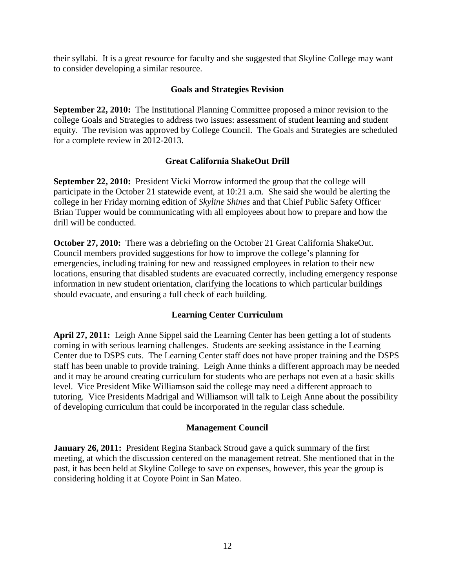their syllabi. It is a great resource for faculty and she suggested that Skyline College may want to consider developing a similar resource.

### **Goals and Strategies Revision**

**September 22, 2010:** The Institutional Planning Committee proposed a minor revision to the college Goals and Strategies to address two issues: assessment of student learning and student equity. The revision was approved by College Council. The Goals and Strategies are scheduled for a complete review in 2012-2013.

## **Great California ShakeOut Drill**

**September 22, 2010:** President Vicki Morrow informed the group that the college will participate in the October 21 statewide event, at 10:21 a.m. She said she would be alerting the college in her Friday morning edition of *Skyline Shines* and that Chief Public Safety Officer Brian Tupper would be communicating with all employees about how to prepare and how the drill will be conducted.

**October 27, 2010:** There was a debriefing on the October 21 Great California ShakeOut. Council members provided suggestions for how to improve the college's planning for emergencies, including training for new and reassigned employees in relation to their new locations, ensuring that disabled students are evacuated correctly, including emergency response information in new student orientation, clarifying the locations to which particular buildings should evacuate, and ensuring a full check of each building.

# **Learning Center Curriculum**

**April 27, 2011:** Leigh Anne Sippel said the Learning Center has been getting a lot of students coming in with serious learning challenges. Students are seeking assistance in the Learning Center due to DSPS cuts. The Learning Center staff does not have proper training and the DSPS staff has been unable to provide training. Leigh Anne thinks a different approach may be needed and it may be around creating curriculum for students who are perhaps not even at a basic skills level. Vice President Mike Williamson said the college may need a different approach to tutoring. Vice Presidents Madrigal and Williamson will talk to Leigh Anne about the possibility of developing curriculum that could be incorporated in the regular class schedule.

### **Management Council**

**January 26, 2011:** President Regina Stanback Stroud gave a quick summary of the first meeting, at which the discussion centered on the management retreat. She mentioned that in the past, it has been held at Skyline College to save on expenses, however, this year the group is considering holding it at Coyote Point in San Mateo.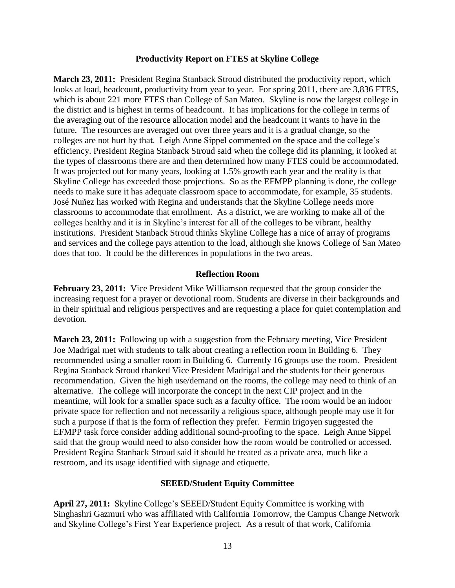#### **Productivity Report on FTES at Skyline College**

**March 23, 2011:** President Regina Stanback Stroud distributed the productivity report, which looks at load, headcount, productivity from year to year. For spring 2011, there are 3,836 FTES, which is about 221 more FTES than College of San Mateo. Skyline is now the largest college in the district and is highest in terms of headcount. It has implications for the college in terms of the averaging out of the resource allocation model and the headcount it wants to have in the future. The resources are averaged out over three years and it is a gradual change, so the colleges are not hurt by that. Leigh Anne Sippel commented on the space and the college's efficiency. President Regina Stanback Stroud said when the college did its planning, it looked at the types of classrooms there are and then determined how many FTES could be accommodated. It was projected out for many years, looking at 1.5% growth each year and the reality is that Skyline College has exceeded those projections. So as the EFMPP planning is done, the college needs to make sure it has adequate classroom space to accommodate, for example, 35 students. José Nuñez has worked with Regina and understands that the Skyline College needs more classrooms to accommodate that enrollment. As a district, we are working to make all of the colleges healthy and it is in Skyline's interest for all of the colleges to be vibrant, healthy institutions. President Stanback Stroud thinks Skyline College has a nice of array of programs and services and the college pays attention to the load, although she knows College of San Mateo does that too. It could be the differences in populations in the two areas.

### **Reflection Room**

**February 23, 2011:** Vice President Mike Williamson requested that the group consider the increasing request for a prayer or devotional room. Students are diverse in their backgrounds and in their spiritual and religious perspectives and are requesting a place for quiet contemplation and devotion.

**March 23, 2011:** Following up with a suggestion from the February meeting, Vice President Joe Madrigal met with students to talk about creating a reflection room in Building 6. They recommended using a smaller room in Building 6. Currently 16 groups use the room. President Regina Stanback Stroud thanked Vice President Madrigal and the students for their generous recommendation. Given the high use/demand on the rooms, the college may need to think of an alternative. The college will incorporate the concept in the next CIP project and in the meantime, will look for a smaller space such as a faculty office. The room would be an indoor private space for reflection and not necessarily a religious space, although people may use it for such a purpose if that is the form of reflection they prefer. Fermin Irigoyen suggested the EFMPP task force consider adding additional sound-proofing to the space. Leigh Anne Sippel said that the group would need to also consider how the room would be controlled or accessed. President Regina Stanback Stroud said it should be treated as a private area, much like a restroom, and its usage identified with signage and etiquette.

#### **SEEED/Student Equity Committee**

**April 27, 2011:** Skyline College's SEEED/Student Equity Committee is working with Singhashri Gazmuri who was affiliated with California Tomorrow, the Campus Change Network and Skyline College's First Year Experience project. As a result of that work, California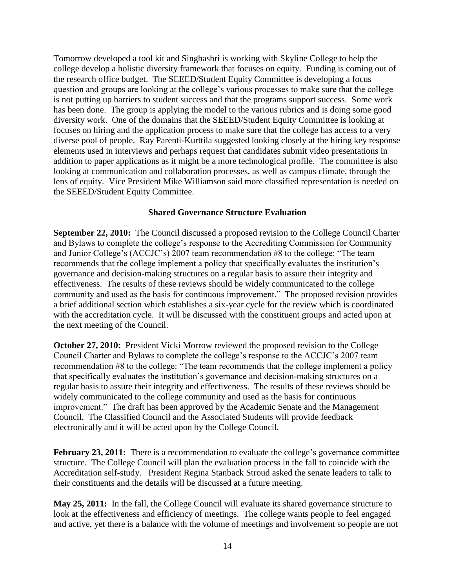Tomorrow developed a tool kit and Singhashri is working with Skyline College to help the college develop a holistic diversity framework that focuses on equity. Funding is coming out of the research office budget. The SEEED/Student Equity Committee is developing a focus question and groups are looking at the college's various processes to make sure that the college is not putting up barriers to student success and that the programs support success. Some work has been done. The group is applying the model to the various rubrics and is doing some good diversity work. One of the domains that the SEEED/Student Equity Committee is looking at focuses on hiring and the application process to make sure that the college has access to a very diverse pool of people. Ray Parenti-Kurttila suggested looking closely at the hiring key response elements used in interviews and perhaps request that candidates submit video presentations in addition to paper applications as it might be a more technological profile. The committee is also looking at communication and collaboration processes, as well as campus climate, through the lens of equity. Vice President Mike Williamson said more classified representation is needed on the SEEED/Student Equity Committee.

### **Shared Governance Structure Evaluation**

**September 22, 2010:** The Council discussed a proposed revision to the College Council Charter and Bylaws to complete the college's response to the Accrediting Commission for Community and Junior College's (ACCJC's) 2007 team recommendation #8 to the college: "The team recommends that the college implement a policy that specifically evaluates the institution's governance and decision-making structures on a regular basis to assure their integrity and effectiveness. The results of these reviews should be widely communicated to the college community and used as the basis for continuous improvement." The proposed revision provides a brief additional section which establishes a six-year cycle for the review which is coordinated with the accreditation cycle. It will be discussed with the constituent groups and acted upon at the next meeting of the Council.

**October 27, 2010:** President Vicki Morrow reviewed the proposed revision to the College Council Charter and Bylaws to complete the college's response to the ACCJC's 2007 team recommendation #8 to the college: "The team recommends that the college implement a policy that specifically evaluates the institution's governance and decision-making structures on a regular basis to assure their integrity and effectiveness. The results of these reviews should be widely communicated to the college community and used as the basis for continuous improvement." The draft has been approved by the Academic Senate and the Management Council. The Classified Council and the Associated Students will provide feedback electronically and it will be acted upon by the College Council.

**February 23, 2011:** There is a recommendation to evaluate the college's governance committee structure. The College Council will plan the evaluation process in the fall to coincide with the Accreditation self-study.President Regina Stanback Stroud asked the senate leaders to talk to their constituents and the details will be discussed at a future meeting.

**May 25, 2011:** In the fall, the College Council will evaluate its shared governance structure to look at the effectiveness and efficiency of meetings. The college wants people to feel engaged and active, yet there is a balance with the volume of meetings and involvement so people are not